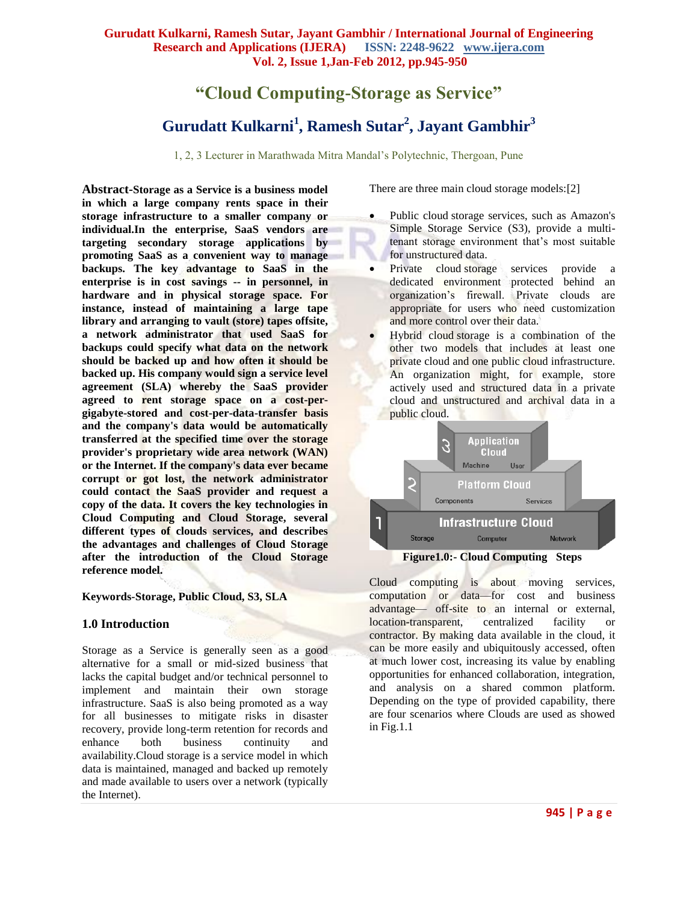# **"Cloud Computing-Storage as Service" Gurudatt Kulkarni<sup>1</sup> , Ramesh Sutar<sup>2</sup> , Jayant Gambhir<sup>3</sup>**

1, 2, 3 Lecturer in Marathwada Mitra Mandal's Polytechnic, Thergoan, Pune

**Abstract-Storage as a Service is a business model in which a large company rents space in their storage infrastructure to a smaller company or individual.In the enterprise, SaaS vendors are targeting secondary storage applications by promoting SaaS as a convenient way to manage backups. The key advantage to SaaS in the enterprise is in cost savings -- in personnel, in hardware and in physical storage space. For instance, instead of maintaining a large tape library and arranging to vault (store) tapes offsite, a network administrator that used SaaS for backups could specify what data on the network should be backed up and how often it should be backed up. His company would sign a service level agreement [\(SLA\)](http://searchitchannel.techtarget.com/sDefinition/0,,sid96_gci213586,00.html) whereby the SaaS provider agreed to rent storage space on a cost-pergigabyte-stored and cost-per-data-transfer basis and the company's data would be automatically transferred at the specified time over the storage provider's proprietary wide area network (WAN) or the Internet. If the company's data ever became corrupt or got lost, the network administrator could contact the SaaS provider and request a copy of the data. It covers the key technologies in Cloud Computing and Cloud Storage, several different types of clouds services, and describes the advantages and challenges of Cloud Storage after the introduction of the Cloud Storage reference model.**

#### **Keywords-Storage, Public Cloud, S3, SLA**

#### **1.0 Introduction**

Storage as a Service is generally seen as a good alternative for a small or mid-sized business that lacks the capital budget and/or technical personnel to implement and maintain their own storage infrastructure. SaaS is also being promoted as a way for all businesses to mitigate risks in disaster recovery, provide long-term retention for records and enhance both business continuity and availability.Cloud storage is a service model in which data is maintained, managed and backed up remotely and made available to users over a network (typically the Internet).

There are three main cloud storage models:[2]

- [Public](http://searchcloudcomputing.techtarget.com/definition/public-cloud) [cloud](http://searchcloudcomputing.techtarget.com/definition/public-cloud) storage services, such as Amazon's Simple Storage Service [\(S3\)](http://searchstorage.techtarget.com/sDefinition/0,,sid5_gci1230589,00.html), provide a multitenant storage environment that's most suitable for unstructured data.
- [Private](http://whatis.techtarget.com/definition/private-cloud.html) [cloud](http://whatis.techtarget.com/definition/private-cloud.html) storage services provide a dedicated environment protected behind an organization's firewall. Private clouds are appropriate for users who need customization and more control over their data.
- [Hybrid](http://searchcloudcomputing.techtarget.com/definition/hybrid-cloud) [cloud](http://searchcloudcomputing.techtarget.com/definition/hybrid-cloud) storage is a combination of the other two models that includes at least one private cloud and one public cloud infrastructure. An organization might, for example, store actively used and structured data in a private cloud and unstructured and archival data in a public cloud.



Cloud computing is about moving services, computation or data—for cost and business advantage— off-site to an internal or external, location-transparent, centralized facility or contractor. By making data available in the cloud, it can be more easily and ubiquitously accessed, often at much lower cost, increasing its value by enabling opportunities for enhanced collaboration, integration, and analysis on a shared common platform. Depending on the type of provided capability, there are four scenarios where Clouds are used as showed in Fig.1.1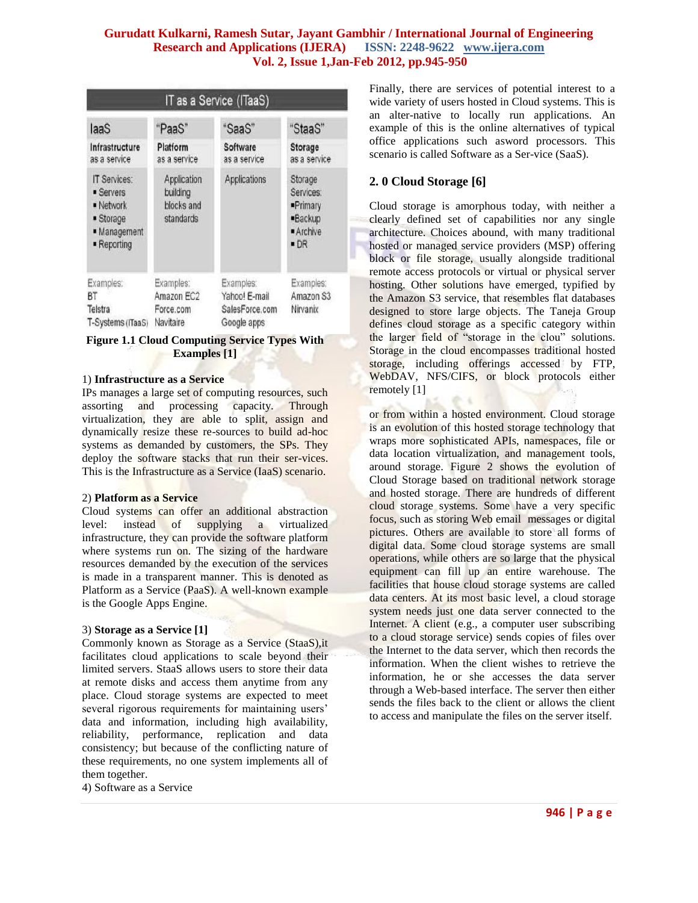| IT as a Service (ITaaS)                                                          |                                                    |                                                             |                                                                 |
|----------------------------------------------------------------------------------|----------------------------------------------------|-------------------------------------------------------------|-----------------------------------------------------------------|
| laaS                                                                             | "PaaS"                                             | "SaaS"                                                      | "StaaS"                                                         |
| Infrastructure<br>as a service                                                   | Platform<br>as a service                           | Software<br>as a service                                    | Storage<br>as a service                                         |
| IT Services:<br>■ Servers<br>• Network<br>• Storage<br>· Management<br>Reporting | Application<br>building<br>blocks and<br>standards | Applications                                                | Storage<br>Services:<br>·Primary<br>·Backup<br>■ Archive<br>D R |
| Examples:<br>ВT<br>Telstra<br>T-Systems (ITaaS)                                  | Examples:<br>Amazon EC2<br>Force.com<br>Navitaire  | Examples:<br>Yahoo! E-mail<br>SalesForce.com<br>Google apps | Examples:<br>Amazon S3<br>Nirvanix                              |

#### **Figure 1.1 Cloud Computing Service Types With Examples [1]**

#### 1) **Infrastructure as a Service**

IPs manages a large set of computing resources, such assorting and processing capacity. Through virtualization, they are able to split, assign and dynamically resize these re-sources to build ad-hoc systems as demanded by customers, the SPs. They deploy the software stacks that run their ser-vices. This is the Infrastructure as a Service (IaaS) scenario.

#### 2) **Platform as a Service**

Cloud systems can offer an additional abstraction level: instead of supplying a virtualized infrastructure, they can provide the software platform where systems run on. The sizing of the hardware resources demanded by the execution of the services is made in a transparent manner. This is denoted as Platform as a Service (PaaS). A well-known example is the Google Apps Engine.

#### 3) **Storage as a Service [1]**

Commonly known as Storage as a Service (StaaS),it facilitates cloud applications to scale beyond their limited servers. StaaS allows users to store their data at remote disks and access them anytime from any place. Cloud storage systems are expected to meet several rigorous requirements for maintaining users' data and information, including high availability, reliability, performance, replication and data consistency; but because of the conflicting nature of these requirements, no one system implements all of them together.

4) Software as a Service

Finally, there are services of potential interest to a wide variety of users hosted in Cloud systems. This is an alter-native to locally run applications. An example of this is the online alternatives of typical office applications such asword processors. This scenario is called Software as a Ser-vice (SaaS).

# **2. 0 Cloud Storage [6]**

Cloud storage is amorphous today, with neither a clearly defined set of capabilities nor any single architecture. Choices abound, with many traditional hosted or managed service providers (MSP) offering block or file storage, usually alongside traditional remote access protocols or virtual or physical server hosting. Other solutions have emerged, typified by the Amazon S3 service, that resembles flat databases designed to store large objects. The Taneja Group defines cloud storage as a specific category within the larger field of "storage in the clou" solutions. Storage in the cloud encompasses traditional hosted storage, including offerings accessed by FTP, WebDAV, NFS/CIFS, or block protocols either remotely [1]

or from within a hosted environment. Cloud storage is an evolution of this hosted storage technology that wraps more sophisticated APIs, namespaces, file or data location virtualization, and management tools, around storage. Figure 2 shows the evolution of Cloud Storage based on traditional network storage and hosted storage. There are hundreds of different cloud storage systems. Some have a very specific focus, such as storing Web email messages or digital pictures. Others are available to store all forms of digital data. Some cloud storage systems are small operations, while others are so large that the physical equipment can fill up an entire warehouse. The facilities that house cloud storage systems are called data centers. At its most basic level, a cloud storage system needs just one data server connected to the Internet. A client (e.g., a computer user subscribing to a cloud storage service) sends copies of files over the Internet to the data server, which then records the information. When the client wishes to retrieve the information, he or she accesses the data server through a Web-based interface. The server then either sends the files back to the client or allows the client to access and manipulate the files on the server itself.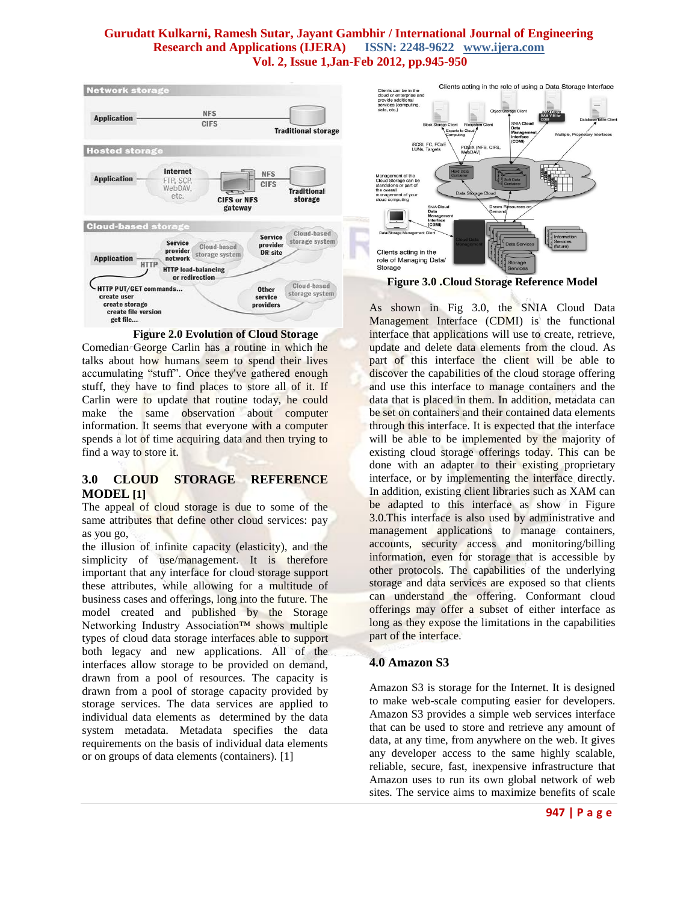

**Figure 2.0 Evolution of Cloud Storage**

Comedian George Carlin has a routine in which he talks about how humans seem to spend their lives accumulating "stuff". Once they've gathered enough stuff, they have to find places to store all of it. If Carlin were to update that routine today, he could make the same observation about computer information. It seems that everyone with a computer spends a lot of time acquiring data and then trying to find a way to store it.

## **3.0 CLOUD STORAGE REFERENCE MODEL [1]**

The appeal of cloud storage is due to some of the same attributes that define other cloud services: pay as you go,

the illusion of infinite capacity (elasticity), and the simplicity of use/management. It is therefore important that any interface for cloud storage support these attributes, while allowing for a multitude of business cases and offerings, long into the future. The model created and published by the Storage Networking Industry Association<sup>™</sup> shows multiple types of cloud data storage interfaces able to support both legacy and new applications. All of the interfaces allow storage to be provided on demand, drawn from a pool of resources. The capacity is drawn from a pool of storage capacity provided by storage services. The data services are applied to individual data elements as determined by the data system metadata. Metadata specifies the data requirements on the basis of individual data elements or on groups of data elements (containers). [1]



**Figure 3.0 .Cloud Storage Reference Model**

As shown in Fig 3.0, the SNIA Cloud Data Management Interface (CDMI) is the functional interface that applications will use to create, retrieve, update and delete data elements from the cloud. As part of this interface the client will be able to discover the capabilities of the cloud storage offering and use this interface to manage containers and the data that is placed in them. In addition, metadata can be set on containers and their contained data elements through this interface. It is expected that the interface will be able to be implemented by the majority of existing cloud storage offerings today. This can be done with an adapter to their existing proprietary interface, or by implementing the interface directly. In addition, existing client libraries such as XAM can be adapted to this interface as show in Figure 3.0.This interface is also used by administrative and management applications to manage containers, accounts, security access and monitoring/billing information, even for storage that is accessible by other protocols. The capabilities of the underlying storage and data services are exposed so that clients can understand the offering. Conformant cloud offerings may offer a subset of either interface as long as they expose the limitations in the capabilities part of the interface.

#### **4.0 Amazon S3**

Amazon S3 is storage for the Internet. It is designed to make web-scale computing easier for developers. Amazon S3 provides a simple web services interface that can be used to store and retrieve any amount of data, at any time, from anywhere on the web. It gives any developer access to the same highly scalable, reliable, secure, fast, inexpensive infrastructure that Amazon uses to run its own global network of web sites. The service aims to maximize benefits of scale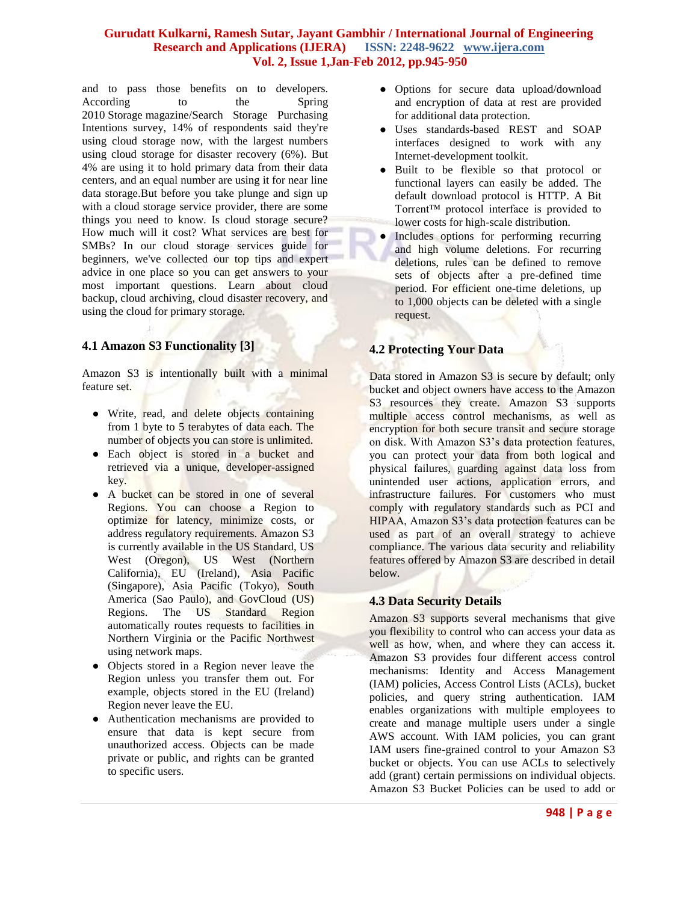and to pass those benefits on to developers. According to the Spring 2010 Storage magazine/Search Storage Purchasing Intentions survey, 14% of respondents said they're using cloud storage now, with the largest numbers using cloud storage for disaster recovery (6%). But 4% are using it to hold primary data from their data centers, and an equal number are using it for near line data storage.But before you take plunge and sign up with a cloud storage service provider, there are some things you need to know. Is cloud storage secure? How much will it cost? What services are best for SMBs? In our cloud storage services guide for beginners, we've collected our top tips and expert advice in one place so you can get answers to your most important questions. Learn about cloud backup, cloud archiving, cloud disaster recovery, and using the cloud for primary storage.

## **4.1 Amazon S3 Functionality [3]**

Amazon S3 is intentionally built with a minimal feature set.

- Write, read, and delete objects containing from 1 byte to 5 terabytes of data each. The number of objects you can store is unlimited.
- Each object is stored in a bucket and retrieved via a unique, developer-assigned key.
- A bucket can be stored in one of several Regions. You can choose a Region to optimize for latency, minimize costs, or address regulatory requirements. Amazon S3 is currently available in the US Standard, US West (Oregon), US West (Northern California), EU (Ireland), Asia Pacific (Singapore), Asia Pacific (Tokyo), South America (Sao Paulo), and GovCloud (US) Regions. The US Standard Region automatically routes requests to facilities in Northern Virginia or the Pacific Northwest using network maps.
- Objects stored in a Region never leave the Region unless you transfer them out. For example, objects stored in the EU (Ireland) Region never leave the EU.
- Authentication mechanisms are provided to ensure that data is kept secure from unauthorized access. Objects can be made private or public, and rights can be granted to specific users.
- Options for secure data upload/download and encryption of data at rest are provided for additional data protection.
- Uses standards-based REST and SOAP interfaces designed to work with any Internet-development toolkit.
- Built to be flexible so that protocol or functional layers can easily be added. The default download protocol is HTTP. A Bit Torrent™ protocol interface is provided to lower costs for high-scale distribution.
- Includes options for performing recurring and high volume deletions. For recurring deletions, rules can be defined to remove sets of objects after a pre-defined time period. For efficient one-time deletions, up to 1,000 objects can be deleted with a single request.

# **4.2 Protecting Your Data**

Data stored in Amazon S3 is secure by default; only bucket and object owners have access to the Amazon S3 resources they create. Amazon S3 supports multiple access control mechanisms, as well as encryption for both secure transit and secure storage on disk. With Amazon S3's data protection features, you can protect your data from both logical and physical failures, guarding against data loss from unintended user actions, application errors, and infrastructure failures. For customers who must comply with regulatory standards such as PCI and HIPAA, Amazon S3's data protection features can be used as part of an overall strategy to achieve compliance. The various data security and reliability features offered by Amazon S3 are described in detail below.

# **4.3 Data Security Details**

Amazon S3 supports several mechanisms that give you flexibility to control who can access your data as well as how, when, and where they can access it. Amazon S3 provides four different access control mechanisms: Identity and Access Management (IAM) policies, Access Control Lists (ACLs), bucket policies, and query string authentication. IAM enables organizations with multiple employees to create and manage multiple users under a single AWS account. With IAM policies, you can grant IAM users fine-grained control to your Amazon S3 bucket or objects. You can use ACLs to selectively add (grant) certain permissions on individual objects. Amazon S3 Bucket Policies can be used to add or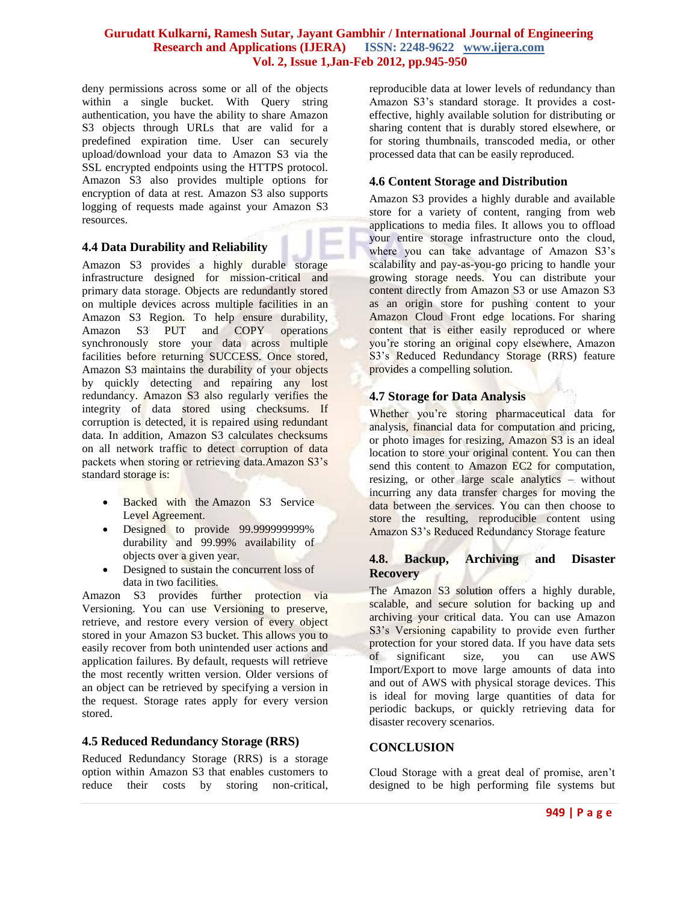deny permissions across some or all of the objects within a single bucket. With Query string authentication, you have the ability to share Amazon S3 objects through URLs that are valid for a predefined expiration time. User can securely upload/download your data to Amazon S3 via the SSL encrypted endpoints using the HTTPS protocol. Amazon S3 also provides multiple options for encryption of data at rest. Amazon S3 also supports logging of requests made against your Amazon S3 resources.

# **4.4 Data Durability and Reliability**

Amazon S3 provides a highly durable storage infrastructure designed for mission-critical and primary data storage. Objects are redundantly stored on multiple devices across multiple facilities in an Amazon S3 Region. To help ensure durability, Amazon S3 PUT and COPY operations synchronously store your data across multiple facilities before returning SUCCESS. Once stored, Amazon S3 maintains the durability of your objects by quickly detecting and repairing any lost redundancy. Amazon S3 also regularly verifies the integrity of data stored using checksums. If corruption is detected, it is repaired using redundant data. In addition, Amazon S3 calculates checksums on all network traffic to detect corruption of data packets when storing or retrieving data.Amazon S3's standard storage is:

- Backed with the [Amazon](http://aws.amazon.com/s3-sla) [S3 S](http://aws.amazon.com/s3-sla)ervic[e](http://aws.amazon.com/s3-sla) [Level](http://aws.amazon.com/s3-sla) [Agreement.](http://aws.amazon.com/s3-sla)
- Designed to provide 99.9999999999% durability and 99.99% availability of objects over a given year.
- Designed to sustain the concurrent loss of data in two facilities.

Amazon S3 provides further protection via Versioning. You can use Versioning to preserve, retrieve, and restore every version of every object stored in your Amazon S3 bucket. This allows you to easily recover from both unintended user actions and application failures. By default, requests will retrieve the most recently written version. Older versions of an object can be retrieved by specifying a version in the request. Storage rates apply for every version stored.

## **4.5 Reduced Redundancy Storage (RRS)**

Reduced Redundancy Storage (RRS) is a storage option within Amazon S3 that enables customers to reduce their costs by storing non-critical, reproducible data at lower levels of redundancy than Amazon S3's standard storage. It provides a costeffective, highly available solution for distributing or sharing content that is durably stored elsewhere, or for storing thumbnails, transcoded media, or other processed data that can be easily reproduced.

## **4.6 Content Storage and Distribution**

Amazon S3 provides a highly durable and available store for a variety of content, ranging from web applications to media files. It allows you to offload your entire storage infrastructure onto the cloud, where you can take advantage of Amazon S3's scalability and pay-as-you-go pricing to handle your growing storage needs. You can distribute your content directly from Amazon S3 or use Amazon S3 as an origin store for pushing content to your Amazon Cloud Front edge locations. For sharing content that is either easily reproduced or where you're storing an original copy elsewhere, Amazon S3's Reduced Redundancy Storage (RRS) feature provides a compelling solution.

## **4.7 Storage for Data Analysis**

Whether you're storing pharmaceutical data for analysis, financial data for computation and pricing, or photo images for resizing, Amazon S3 is an ideal location to store your original content. You can then send this content to Amazon EC2 for computation, resizing, or other large scale analytics – without incurring any data transfer charges for moving the data between the services. You can then choose to store the resulting, reproducible content using Amazon S3's Reduced Redundancy Storage feature

## **4.8. Backup, Archiving and Disaster Recovery**

The Amazon S3 solution offers a highly durable, scalable, and secure solution for backing up and archiving your critical data. You can use Amazon S3's Versioning capability to provide even further protection for your stored data. If you have data sets of significant size, you can use [AWS](http://aws.amazon.com/importexport) [Import/Export](http://aws.amazon.com/importexport) to move large amounts of data into and out of AWS with physical storage devices. This is ideal for moving large quantities of data for periodic backups, or quickly retrieving data for disaster recovery scenarios.

## **CONCLUSION**

Cloud Storage with a great deal of promise, aren't designed to be high performing file systems but